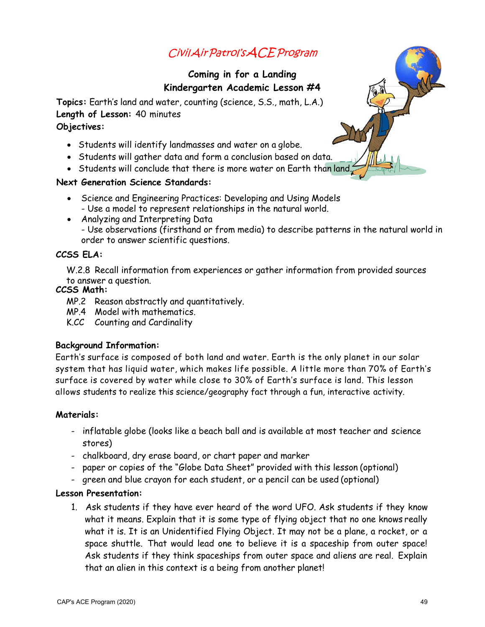## CivilAirPatrol'sACEProgram

#### **Coming in for a Landing Kindergarten Academic Lesson #4**

**Topics:** Earth's land and water, counting (science, S.S., math, L.A.) **Length of Lesson:** 40 minutes **Objectives:**

- Students will identify landmasses and water on a globe.
- Students will gather data and form a conclusion based on data.
- Students will conclude that there is more water on Earth than land.

#### **Next Generation Science Standards:**

- Science and Engineering Practices: Developing and Using Models - Use a model to represent relationships in the natural world.
- Analyzing and Interpreting Data - Use observations (firsthand or from media) to describe patterns in the natural world in order to answer scientific questions.

#### **CCSS ELA:**

W.2.8 Recall information from experiences or gather information from provided sources to answer a question.

#### **CCSS Math:**

- MP.2 Reason abstractly and quantitatively.
- MP.4 Model with mathematics.
- K.CC Counting and Cardinality

#### **Background Information:**

Earth's surface is composed of both land and water. Earth is the only planet in our solar system that has liquid water, which makes life possible. A little more than 70% of Earth's surface is covered by water while close to 30% of Earth's surface is land. This lesson allows students to realize this science/geography fact through a fun, interactive activity.

#### **Materials:**

- inflatable globe (looks like a beach ball and is available at most teacher and science stores)
- chalkboard, dry erase board, or chart paper and marker
- paper or copies of the "Globe Data Sheet" provided with this lesson (optional)
- green and blue crayon for each student, or a pencil can be used (optional)

#### **Lesson Presentation:**

1. Ask students if they have ever heard of the word UFO. Ask students if they know what it means. Explain that it is some type of flying object that no one knows really what it is. It is an Unidentified Flying Object. It may not be a plane, a rocket, or a space shuttle. That would lead one to believe it is a spaceship from outer space! Ask students if they think spaceships from outer space and aliens are real. Explain that an alien in this context is a being from another planet!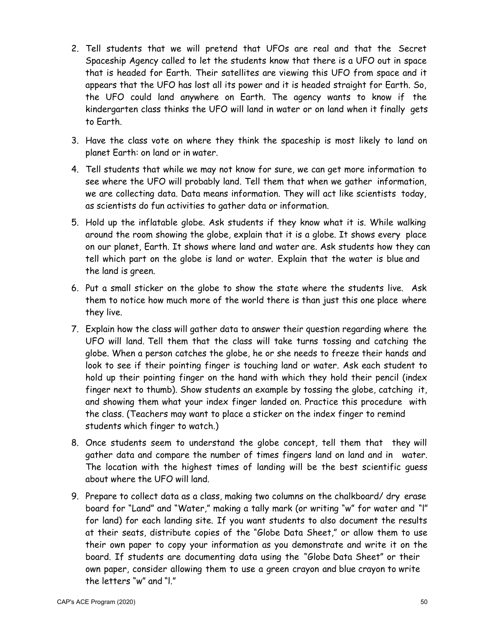- 2. Tell students that we will pretend that UFOs are real and that the Secret Spaceship Agency called to let the students know that there is a UFO out in space that is headed for Earth. Their satellites are viewing this UFO from space and it appears that the UFO has lost all its power and it is headed straight for Earth. So, the UFO could land anywhere on Earth. The agency wants to know if the kindergarten class thinks the UFO will land in water or on land when it finally gets to Earth.
- 3. Have the class vote on where they think the spaceship is most likely to land on planet Earth: on land or in water.
- 4. Tell students that while we may not know for sure, we can get more information to see where the UFO will probably land. Tell them that when we gather information, we are collecting data. Data means information. They will act like scientists today, as scientists do fun activities to gather data or information.
- 5. Hold up the inflatable globe. Ask students if they know what it is. While walking around the room showing the globe, explain that it is a globe. It shows every place on our planet, Earth. It shows where land and water are. Ask students how they can tell which part on the globe is land or water. Explain that the water is blue and the land is green.
- 6. Put a small sticker on the globe to show the state where the students live. Ask them to notice how much more of the world there is than just this one place where they live.
- 7. Explain how the class will gather data to answer their question regarding where the UFO will land. Tell them that the class will take turns tossing and catching the globe. When a person catches the globe, he or she needs to freeze their hands and look to see if their pointing finger is touching land or water. Ask each student to hold up their pointing finger on the hand with which they hold their pencil (index finger next to thumb). Show students an example by tossing the globe, catching it, and showing them what your index finger landed on. Practice this procedure with the class. (Teachers may want to place a sticker on the index finger to remind students which finger to watch.)
- 8. Once students seem to understand the globe concept, tell them that they will gather data and compare the number of times fingers land on land and in water. The location with the highest times of landing will be the best scientific guess about where the UFO will land.
- 9. Prepare to collect data as a class, making two columns on the chalkboard/ dry erase board for "Land" and "Water," making a tally mark (or writing "w" for water and "l" for land) for each landing site. If you want students to also document the results at their seats, distribute copies of the "Globe Data Sheet," or allow them to use their own paper to copy your information as you demonstrate and write it on the board. If students are documenting data using the "Globe Data Sheet" or their own paper, consider allowing them to use a green crayon and blue crayon to write the letters "w" and "l."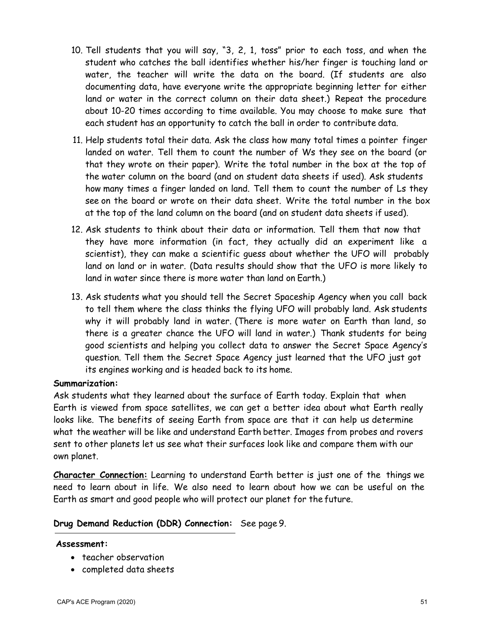- 10. Tell students that you will say, "3, 2, 1, toss" prior to each toss, and when the student who catches the ball identifies whether his/her finger is touching land or water, the teacher will write the data on the board. (If students are also documenting data, have everyone write the appropriate beginning letter for either land or water in the correct column on their data sheet.) Repeat the procedure about 10-20 times according to time available. You may choose to make sure that each student has an opportunity to catch the ball in order to contribute data.
- 11. Help students total their data. Ask the class how many total times a pointer finger landed on water. Tell them to count the number of Ws they see on the board (or that they wrote on their paper). Write the total number in the box at the top of the water column on the board (and on student data sheets if used). Ask students how many times a finger landed on land. Tell them to count the number of Ls they see on the board or wrote on their data sheet. Write the total number in the box at the top of the land column on the board (and on student data sheets if used).
- 12. Ask students to think about their data or information. Tell them that now that they have more information (in fact, they actually did an experiment like a scientist), they can make a scientific guess about whether the UFO will probably land on land or in water. (Data results should show that the UFO is more likely to land in water since there is more water than land on Earth.)
- 13. Ask students what you should tell the Secret Spaceship Agency when you call back to tell them where the class thinks the flying UFO will probably land. Ask students why it will probably land in water. (There is more water on Earth than land, so there is a greater chance the UFO will land in water.) Thank students for being good scientists and helping you collect data to answer the Secret Space Agency's question. Tell them the Secret Space Agency just learned that the UFO just got its engines working and is headed back to its home.

#### **Summarization:**

Ask students what they learned about the surface of Earth today. Explain that when Earth is viewed from space satellites, we can get a better idea about what Earth really looks like. The benefits of seeing Earth from space are that it can help us determine what the weather will be like and understand Earth better. Images from probes and rovers sent to other planets let us see what their surfaces look like and compare them with our own planet.

**Character Connection:** Learning to understand Earth better is just one of the things we need to learn about in life. We also need to learn about how we can be useful on the Earth as smart and good people who will protect our planet for the future.

#### **Drug Demand Reduction (DDR) Connection:** See page 9.

#### **Assessment:**

- teacher observation
- completed data sheets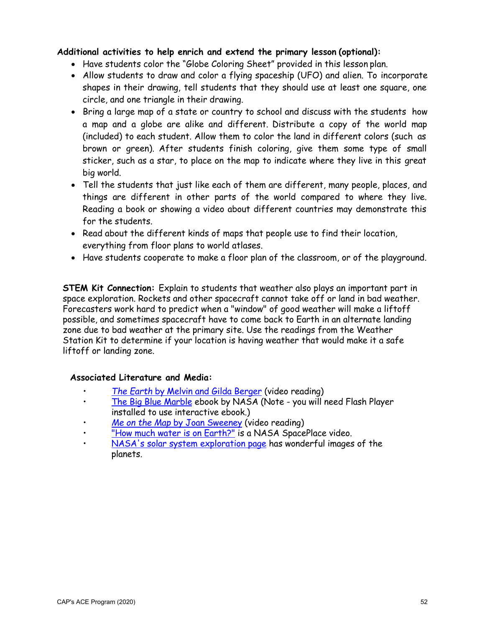#### **Additional activities to help enrich and extend the primary lesson (optional):**

- Have students color the "Globe Coloring Sheet" provided in this lesson plan.
- Allow students to draw and color a flying spaceship (UFO) and alien. To incorporate shapes in their drawing, tell students that they should use at least one square, one circle, and one triangle in their drawing.
- Bring a large map of a state or country to school and discuss with the students how a map and a globe are alike and different. Distribute a copy of the world map (included) to each student. Allow them to color the land in different colors (such as brown or green). After students finish coloring, give them some type of small sticker, such as a star, to place on the map to indicate where they live in this great big world.
- Tell the students that just like each of them are different, many people, places, and things are different in other parts of the world compared to where they live. Reading a book or showing a video about different countries may demonstrate this for the students.
- Read about the different kinds of maps that people use to find their location, everything from floor plans to world atlases.
- Have students cooperate to make a floor plan of the classroom, or of the playground.

**STEM Kit Connection:** Explain to students that weather also plays an important part in space exploration. Rockets and other spacecraft cannot take off or land in bad weather. Forecasters work hard to predict when a "window" of good weather will make a liftoff possible, and sometimes spacecraft have to come back to Earth in an alternate landing zone due to bad weather at the primary site. Use the readings from the Weather Station Kit to determine if your location is having weather that would make it a safe liftoff or landing zone.

#### **Associated Literature and Media:**

- *The Earth* by [Melvin and Gilda Berger](https://www.youtube.com/watch?v=pdHovS2g7e0) (video reading)
- [The Big Blue Marble](https://www.nasa.gov/audience/forstudents/k-4/stories/ames-big-blue-marble-storybook.html) ebook by NASA (Note you will need Flash Player installed to use interactive ebook.)
- Me on the Map [by Joan Sweeney](https://www.youtube.com/watch?v=21keh7LS8K8) (video reading)
- ["How much water](https://spaceplace.nasa.gov/water/en/) is on Earth?" is a NASA SpacePlace video.
- NASA's solar system [exploration](https://solarsystem.nasa.gov/planets/overview/) page has wonderful images of the planets.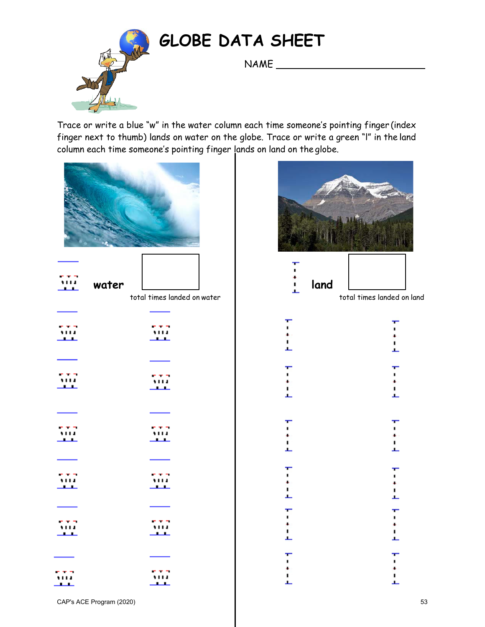

## **GLOBE DATA SHEET**

NAME
<sub>\_\_\_\_\_\_\_\_\_\_\_\_\_\_\_\_</sub>

Trace or write a blue "w" in the water column each time someone's pointing finger (index finger next to thumb) lands on water on the globe. Trace or write a green "l" in the land column each time someone's pointing finger lands on land on the globe.

| .<br>water<br>J. | total times landed on water | İ<br>land          |
|------------------|-----------------------------|--------------------|
| <u> 111</u>      | ,,,,<br>للمساد              | ٠<br>İ             |
| 豐                | ,,,,                        | ı<br>$\frac{1}{2}$ |
| .<br>ᅭ           | ட                           | L                  |
|                  |                             | ı<br>ı             |
| $\frac{1}{2}$    | 557<br>للقائب               | $\frac{1}{2}$      |
| tra<br>للعابث    | $\mathbb{Z}^2$              | $\frac{1}{2}$      |



CAP's ACE Program (2020) 53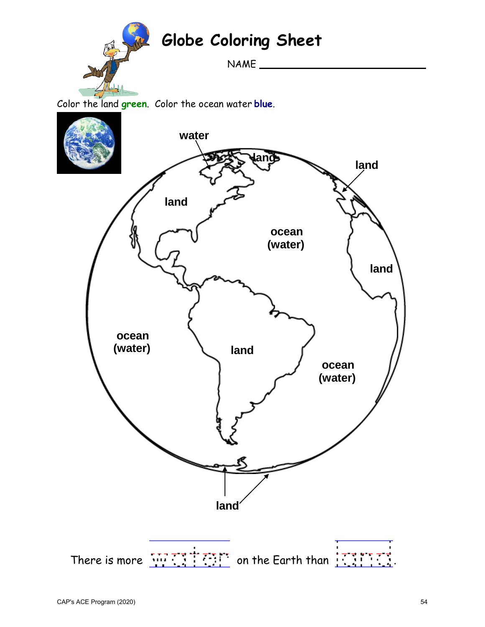

# **Globe Coloring Sheet**

NAME

Color the land **green**. Color the ocean water **blue**.